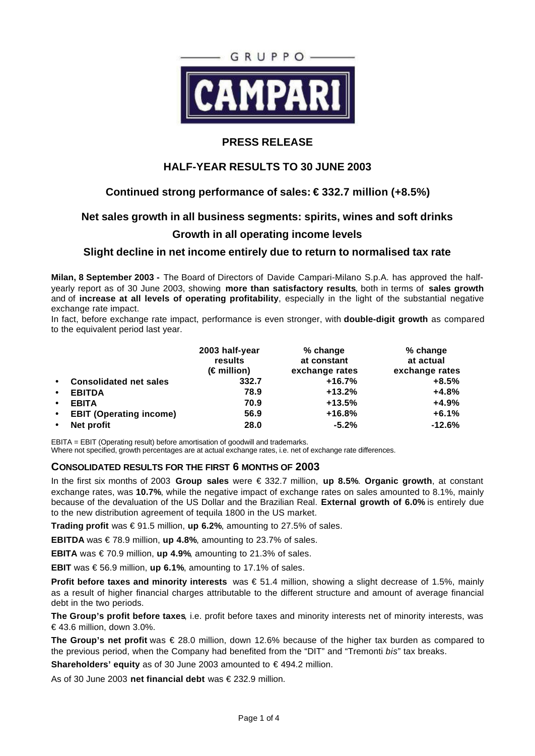

# **PRESS RELEASE**

# **HALF-YEAR RESULTS TO 30 JUNE 2003**

# **Continued strong performance of sales: € 332.7 million (+8.5%)**

## **Net sales growth in all business segments: spirits, wines and soft drinks**

## **Growth in all operating income levels**

## **Slight decline in net income entirely due to return to normalised tax rate**

**Milan, 8 September 2003 -** The Board of Directors of Davide Campari-Milano S.p.A. has approved the halfyearly report as of 30 June 2003, showing **more than satisfactory results**, both in terms of **sales growth** and of **increase at all levels of operating profitability**, especially in the light of the substantial negative exchange rate impact.

In fact, before exchange rate impact, performance is even stronger, with **double-digit growth** as compared to the equivalent period last year.

|           |                                | 2003 half-year<br>results<br>$(\epsilon$ million) | % change<br>at constant<br>exchange rates | % change<br>at actual<br>exchange rates |
|-----------|--------------------------------|---------------------------------------------------|-------------------------------------------|-----------------------------------------|
| $\bullet$ | <b>Consolidated net sales</b>  | 332.7                                             | $+16.7%$                                  | $+8.5%$                                 |
| $\bullet$ | <b>EBITDA</b>                  | 78.9                                              | $+13.2%$                                  | $+4.8%$                                 |
| $\bullet$ | <b>EBITA</b>                   | 70.9                                              | $+13.5%$                                  | $+4.9%$                                 |
| $\bullet$ | <b>EBIT (Operating income)</b> | 56.9                                              | $+16.8%$                                  | $+6.1%$                                 |
| $\bullet$ | Net profit                     | 28.0                                              | $-5.2%$                                   | $-12.6%$                                |

EBITA = EBIT (Operating result) before amortisation of goodwill and trademarks. Where not specified, growth percentages are at actual exchange rates, i.e. net of exchange rate differences.

## **CONSOLIDATED RESULTS FOR THE FIRST 6 MONTHS OF 2003**

In the first six months of 2003 **Group sales** were € 332.7 million, **up 8.5%**. **Organic growth**, at constant exchange rates, was **10.7%**, while the negative impact of exchange rates on sales amounted to 8.1%, mainly because of the devaluation of the US Dollar and the Brazilian Real. **External growth of 6.0%** is entirely due to the new distribution agreement of tequila 1800 in the US market.

**Trading profit** was € 91.5 million, **up 6.2%**, amounting to 27.5% of sales.

**EBITDA** was € 78.9 million, **up 4.8%**, amounting to 23.7% of sales.

**EBITA** was €70.9 million,  $up$  4.9%, amounting to 21.3% of sales.

**EBIT** was € 56.9 million, **up 6.1%**, amounting to 17.1% of sales.

**Profit before taxes and minority interests** was € 51.4 million, showing a slight decrease of 1.5%, mainly as a result of higher financial charges attributable to the different structure and amount of average financial debt in the two periods.

**The Group's profit before taxes**, i.e. profit before taxes and minority interests net of minority interests, was € 43.6 million, down 3.0%.

**The Group's net profit** was € 28.0 million, down 12.6% because of the higher tax burden as compared to the previous period, when the Company had benefited from the "DIT" and "Tremonti *bis*" tax breaks.

**Shareholders' equity** as of 30 June 2003 amounted to € 494.2 million.

As of 30 June 2003 **net financial debt** was € 232.9 million.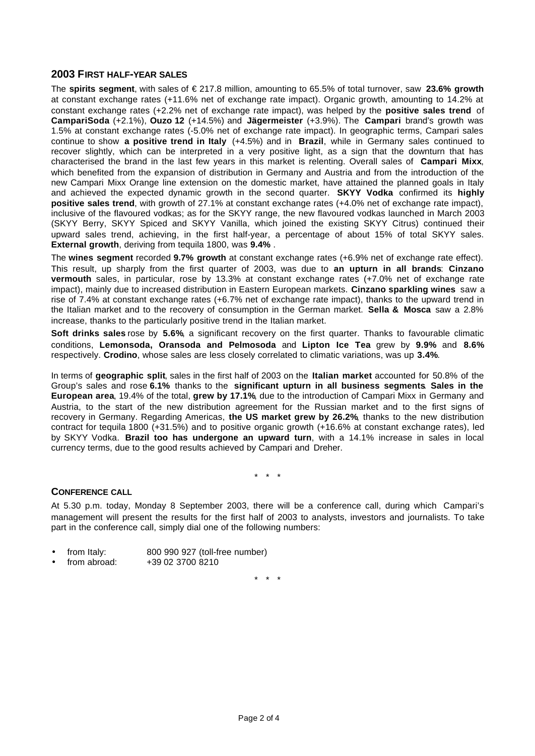### **2003 FIRST HALF-YEAR SALES**

The **spirits segment**, with sales of € 217.8 million, amounting to 65.5% of total turnover, saw **23.6% growth** at constant exchange rates (+11.6% net of exchange rate impact). Organic growth, amounting to 14.2% at constant exchange rates (+2.2% net of exchange rate impact), was helped by the **positive sales trend** of **CampariSoda** (+2.1%), **Ouzo 12** (+14.5%) and **Jägermeister** (+3.9%). The **Campari** brand's growth was 1.5% at constant exchange rates (-5.0% net of exchange rate impact). In geographic terms, Campari sales continue to show **a positive trend in Italy** (+4.5%) and in **Brazil**, while in Germany sales continued to recover slightly, which can be interpreted in a very positive light, as a sign that the downturn that has characterised the brand in the last few years in this market is relenting. Overall sales of **Campari Mixx**, which benefited from the expansion of distribution in Germany and Austria and from the introduction of the new Campari Mixx Orange line extension on the domestic market, have attained the planned goals in Italy and achieved the expected dynamic growth in the second quarter. **SKYY Vodka** confirmed its **highly positive sales trend**, with growth of 27.1% at constant exchange rates (+4.0% net of exchange rate impact), inclusive of the flavoured vodkas; as for the SKYY range, the new flavoured vodkas launched in March 2003 (SKYY Berry, SKYY Spiced and SKYY Vanilla, which joined the existing SKYY Citrus) continued their upward sales trend, achieving, in the first half-year, a percentage of about 15% of total SKYY sales. **External growth**, deriving from tequila 1800, was **9.4%** .

The **wines segment** recorded **9.7% growth** at constant exchange rates (+6.9% net of exchange rate effect). This result, up sharply from the first quarter of 2003, was due to **an upturn in all brands**: **Cinzano vermouth** sales, in particular, rose by 13.3% at constant exchange rates (+7.0% net of exchange rate impact), mainly due to increased distribution in Eastern European markets. **Cinzano sparkling wines** saw a rise of 7.4% at constant exchange rates (+6.7% net of exchange rate impact), thanks to the upward trend in the Italian market and to the recovery of consumption in the German market. **Sella & Mosca** saw a 2.8% increase, thanks to the particularly positive trend in the Italian market.

**Soft drinks sales** rose by **5.6%**, a significant recovery on the first quarter. Thanks to favourable climatic conditions, **Lemonsoda, Oransoda and Pelmosoda** and **Lipton Ice Tea** grew by **9.9%** and **8.6%** respectively. **Crodino**, whose sales are less closely correlated to climatic variations, was up **3.4%**.

In terms of **geographic split**, sales in the first half of 2003 on the **Italian market** accounted for 50.8% of the Group's sales and rose **6.1%** thanks to the **significant upturn in all business segments**. **Sales in the European area**, 19.4% of the total, **grew by 17.1%**, due to the introduction of Campari Mixx in Germany and Austria, to the start of the new distribution agreement for the Russian market and to the first signs of recovery in Germany. Regarding Americas, **the US market grew by 26.2%**, thanks to the new distribution contract for tequila 1800 (+31.5%) and to positive organic growth (+16.6% at constant exchange rates), led by SKYY Vodka. **Brazil too has undergone an upward turn**, with a 14.1% increase in sales in local currency terms, due to the good results achieved by Campari and Dreher.

\* \* \*

#### **CONFERENCE CALL**

At 5.30 p.m. today, Monday 8 September 2003, there will be a conference call, during which Campari's management will present the results for the first half of 2003 to analysts, investors and journalists. To take part in the conference call, simply dial one of the following numbers:

- from Italy: 800 990 927 (toll-free number)
- from abroad: +39 02 3700 8210

\* \* \*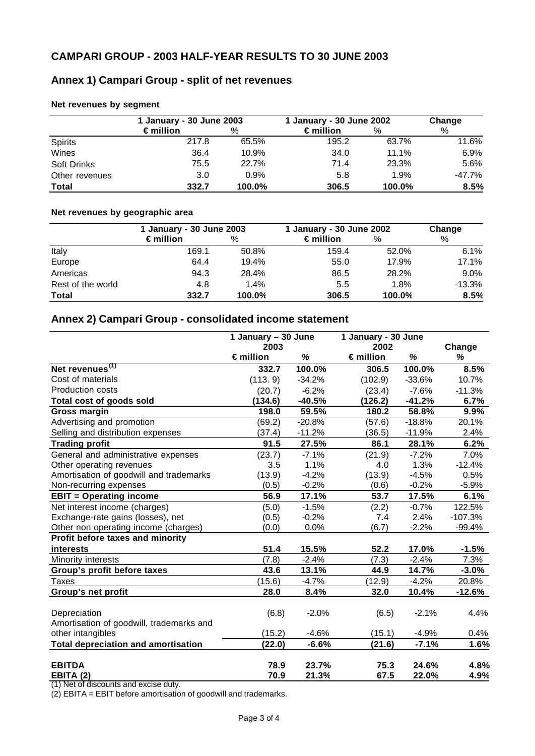# **Annex 1) Campari Group - split of net revenues**

|                | 1 January - 30 June 2003 |        | 1 January - 30 June 2002 | Change |        |
|----------------|--------------------------|--------|--------------------------|--------|--------|
|                | $\epsilon$ million       | %      | $\epsilon$ million       | $\%$   | $\%$   |
| <b>Spirits</b> | 217.8                    | 65.5%  | 195.2                    | 63.7%  | 11.6%  |
| Wines          | 36.4                     | 10.9%  | 34.0                     | 11.1%  | 6.9%   |
| Soft Drinks    | 75.5                     | 22.7%  | 71.4                     | 23.3%  | 5.6%   |
| Other revenues | 3.0                      | 0.9%   | 5.8                      | 1.9%   | -47.7% |
| <b>Total</b>   | 332.7                    | 100.0% | 306.5                    | 100.0% | 8.5%   |

### **Net revenues by segment**

## **Net revenues by geographic area**

|                   | 1 January - 30 June 2003 |        | 1 January - 30 June 2002 |        | Change   |
|-------------------|--------------------------|--------|--------------------------|--------|----------|
|                   | $\epsilon$ million       | %      | $\epsilon$ million       | $\%$   | $\%$     |
| Italy             | 169.1                    | 50.8%  | 159.4                    | 52.0%  | 6.1%     |
| Europe            | 64.4                     | 19.4%  | 55.0                     | 17.9%  | 17.1%    |
| Americas          | 94.3                     | 28.4%  | 86.5                     | 28.2%  | 9.0%     |
| Rest of the world | 4.8                      | 1.4%   | 5.5                      | 1.8%   | $-13.3%$ |
| <b>Total</b>      | 332.7                    | 100.0% | 306.5                    | 100.0% | 8.5%     |

## **Annex 2) Campari Group - consolidated income statement**

|                                            | 1 January - 30 June |          | 1 January - 30 June |          |           |
|--------------------------------------------|---------------------|----------|---------------------|----------|-----------|
|                                            | 2003                |          | 2002                |          | Change    |
|                                            | $\epsilon$ million  | %        | $\epsilon$ million  | %        | %         |
| Net revenues <sup>(1)</sup>                | 332.7               | 100.0%   | 306.5               | 100.0%   | 8.5%      |
| Cost of materials                          | (113.9)             | $-34.2%$ | (102.9)             | $-33.6%$ | 10.7%     |
| <b>Production costs</b>                    | (20.7)              | $-6.2%$  | (23.4)              | $-7.6%$  | $-11.3%$  |
| Total cost of goods sold                   | (134.6)             | $-40.5%$ | (126.2)             | $-41.2%$ | 6.7%      |
| <b>Gross margin</b>                        | 198.0               | 59.5%    | 180.2               | 58.8%    | 9.9%      |
| Advertising and promotion                  | (69.2)              | $-20.8%$ | (57.6)              | $-18.8%$ | 20.1%     |
| Selling and distribution expenses          | (37.4)              | $-11.2%$ | (36.5)              | $-11.9%$ | 2.4%      |
| <b>Trading profit</b>                      | 91.5                | 27.5%    | 86.1                | 28.1%    | 6.2%      |
| General and administrative expenses        | (23.7)              | $-7.1%$  | (21.9)              | $-7.2%$  | 7.0%      |
| Other operating revenues                   | 3.5                 | 1.1%     | 4.0                 | 1.3%     | $-12.4%$  |
| Amortisation of goodwill and trademarks    | (13.9)              | $-4.2%$  | (13.9)              | $-4.5%$  | 0.5%      |
| Non-recurring expenses                     | (0.5)               | $-0.2%$  | (0.6)               | $-0.2%$  | $-5.9%$   |
| <b>EBIT = Operating income</b>             | 56.9                | 17.1%    | 53.7                | 17.5%    | 6.1%      |
| Net interest income (charges)              | (5.0)               | $-1.5%$  | (2.2)               | $-0.7%$  | 122.5%    |
| Exchange-rate gains (losses), net          | (0.5)               | $-0.2%$  | 7.4                 | 2.4%     | $-107.3%$ |
| Other non operating income (charges)       | (0.0)               | 0.0%     | (6.7)               | $-2.2%$  | $-99.4%$  |
| Profit before taxes and minority           |                     |          |                     |          |           |
| interests                                  | 51.4                | 15.5%    | 52.2                | 17.0%    | $-1.5%$   |
| <b>Minority interests</b>                  | (7.8)               | $-2.4%$  | (7.3)               | $-2.4%$  | 7.3%      |
| <b>Group's profit before taxes</b>         | 43.6                | 13.1%    | 44.9                | 14.7%    | $-3.0%$   |
| <b>Taxes</b>                               | (15.6)              | $-4.7%$  | (12.9)              | $-4.2%$  | 20.8%     |
| Group's net profit                         | 28.0                | 8.4%     | 32.0                | 10.4%    | $-12.6%$  |
|                                            |                     |          |                     |          |           |
| Depreciation                               | (6.8)               | $-2.0%$  | (6.5)               | $-2.1%$  | 4.4%      |
| Amortisation of goodwill, trademarks and   |                     |          |                     |          |           |
| other intangibles                          | (15.2)              | $-4.6%$  | (15.1)              | $-4.9%$  | 0.4%      |
| <b>Total depreciation and amortisation</b> | (22.0)              | $-6.6%$  | (21.6)              | $-7.1%$  | 1.6%      |
| <b>EBITDA</b>                              | 78.9                | 23.7%    | 75.3                | 24.6%    | 4.8%      |
| <b>EBITA (2)</b>                           | 70.9                | 21.3%    | 67.5                | 22.0%    | 4.9%      |

 $\frac{25}{(1)}$  Net of discounts and excise duty.

 $(2)$  EBITA = EBIT before amortisation of goodwill and trademarks.